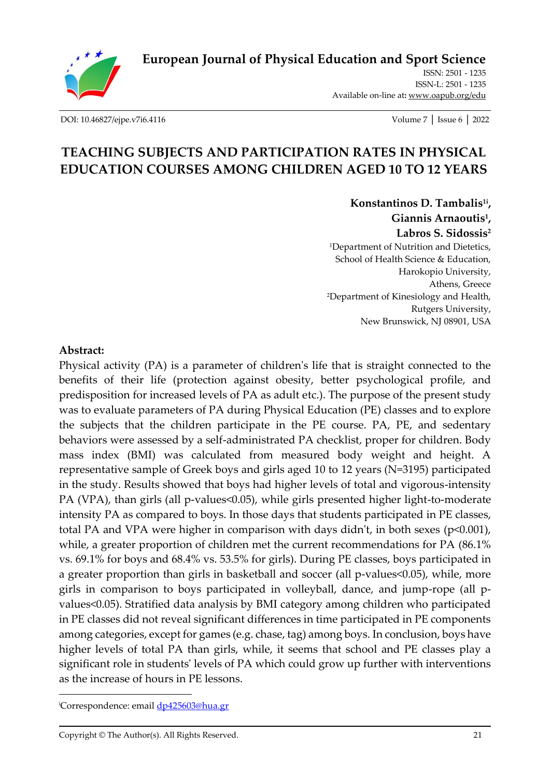**[European Journal of Physical Education and Sport Science](http://oapub.org/edu/index.php/ejep)**



ISSN: 2501 - 1235 ISSN-L: 2501 - 1235 Available on-line at**:** [www.oapub.org/edu](http://www.oapub.org/edu)

[DOI: 10.46827/ejpe.v7i6.4116](http://dx.doi.org/10.46827/ejpe.v7i6.4116) Volume 7 │ Issue 6 │ 2022

# **TEACHING SUBJECTS AND PARTICIPATION RATES IN PHYSICAL EDUCATION COURSES AMONG CHILDREN AGED 10 TO 12 YEARS**

**Konstantinos D. Tambalis1i , Giannis Arnaoutis<sup>1</sup> , Labros S. Sidossis<sup>2</sup>** <sup>1</sup>Department of Nutrition and Dietetics, School of Health Science & Education, Harokopio University, Athens, Greece <sup>2</sup>Department of Kinesiology and Health, Rutgers University, New Brunswick, NJ 08901, USA

#### **Abstract:**

Physical activity (PA) is a parameter of children's life that is straight connected to the benefits of their life (protection against obesity, better psychological profile, and predisposition for increased levels of PA as adult etc.). The purpose of the present study was to evaluate parameters of PA during Physical Education (PE) classes and to explore the subjects that the children participate in the PE course. PA, PE, and sedentary behaviors were assessed by a self-administrated PA checklist, proper for children. Body mass index (BMI) was calculated from measured body weight and height. A representative sample of Greek boys and girls aged 10 to 12 years (N=3195) participated in the study. Results showed that boys had higher levels of total and vigorous-intensity PA (VPA), than girls (all p-values<0.05), while girls presented higher light-to-moderate intensity PA as compared to boys. In those days that students participated in PE classes, total PA and VPA were higher in comparison with days didn't, in both sexes (p<0.001), while, a greater proportion of children met the current recommendations for PA (86.1% vs. 69.1% for boys and 68.4% vs. 53.5% for girls). During PE classes, boys participated in a greater proportion than girls in basketball and soccer (all p-values<0.05), while, more girls in comparison to boys participated in volleyball, dance, and jump-rope (all pvalues<0.05). Stratified data analysis by BMI category among children who participated in PE classes did not reveal significant differences in time participated in PE components among categories, except for games (e.g. chase, tag) among boys. In conclusion, boys have higher levels of total PA than girls, while, it seems that school and PE classes play a significant role in students' levels of PA which could grow up further with interventions as the increase of hours in PE lessons.

<sup>&</sup>lt;sup>i</sup>Correspondence: email [dp425603@hua.gr](mailto:dp425603@hua.gr)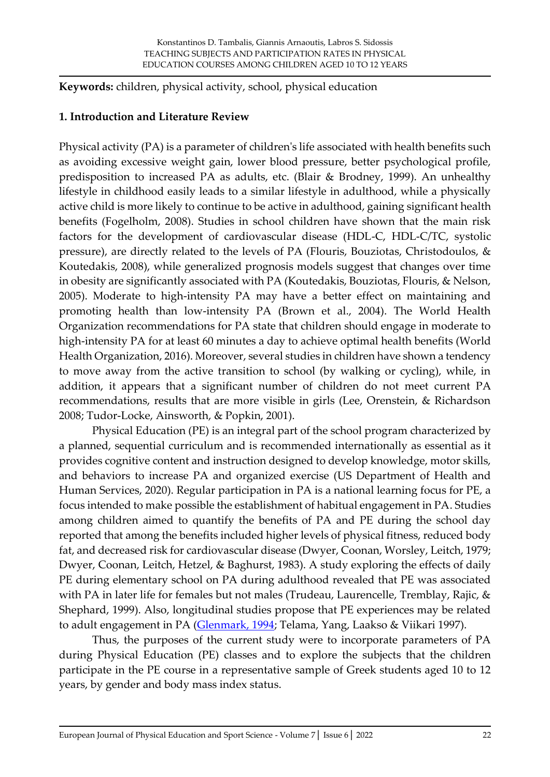**Keywords:** children, physical activity, school, physical education

#### **1. Introduction and Literature Review**

Physical activity (PA) is a parameter of children's life associated with health benefits such as avoiding excessive weight gain, lower blood pressure, better psychological profile, predisposition to increased PA as adults, etc. (Blair & Brodney, 1999). An unhealthy lifestyle in childhood easily leads to a similar lifestyle in adulthood, while a physically active child is more likely to continue to be active in adulthood, gaining significant health benefits (Fogelholm, 2008). Studies in school children have shown that the main risk factors for the development of cardiovascular disease (HDL-C, HDL-C/TC, systolic pressure), are directly related to the levels of PA (Flouris, Bouziotas, Christodoulos, & Koutedakis, 2008), while generalized prognosis models suggest that changes over time in obesity are significantly associated with PA (Koutedakis, Bouziotas, Flouris, & Nelson, 2005). Moderate to high-intensity PA may have a better effect on maintaining and promoting health than low-intensity PA (Brown et al., 2004). The World Health Organization recommendations for PA state that children should engage in moderate to high-intensity PA for at least 60 minutes a day to achieve optimal health benefits (World Health Organization, 2016). Moreover, several studies in children have shown a tendency to move away from the active transition to school (by walking or cycling), while, in addition, it appears that a significant number of children do not meet current PA recommendations, results that are more visible in girls (Lee, Orenstein, & Richardson 2008; Tudor-Locke, Ainsworth, & Popkin, 2001).

Physical Education (PE) is an integral part of the school program characterized by a planned, sequential curriculum and is recommended internationally as essential as it provides cognitive content and instruction designed to develop knowledge, motor skills, and behaviors to increase PA and organized exercise (US Department of Health and Human Services, 2020). Regular participation in PA is a national learning focus for PE, a focus intended to make possible the establishment of habitual engagement in PA. Studies among children aimed to quantify the benefits of PA and PE during the school day reported that among the benefits included higher levels of physical fitness, reduced body fat, and decreased risk for cardiovascular disease (Dwyer, Coonan, Worsley, Leitch, 1979; Dwyer, Coonan, Leitch, Hetzel, & Baghurst, 1983). A study exploring the effects of daily PE during elementary school on PA during adulthood revealed that PE was associated with PA in later life for females but not males (Trudeau, Laurencelle, Tremblay, Rajic, & Shephard, 1999). Also, longitudinal studies propose that PE experiences may be related to adult engagement in PA [\(Glenmark, 1994;](https://www.ncbi.nlm.nih.gov/books/NBK201501/) Telama, Yang, Laakso & Viikari 1997).

Thus, the purposes of the current study were to incorporate parameters of PA during Physical Education (PE) classes and to explore the subjects that the children participate in the PE course in a representative sample of Greek students aged 10 to 12 years, by gender and body mass index status.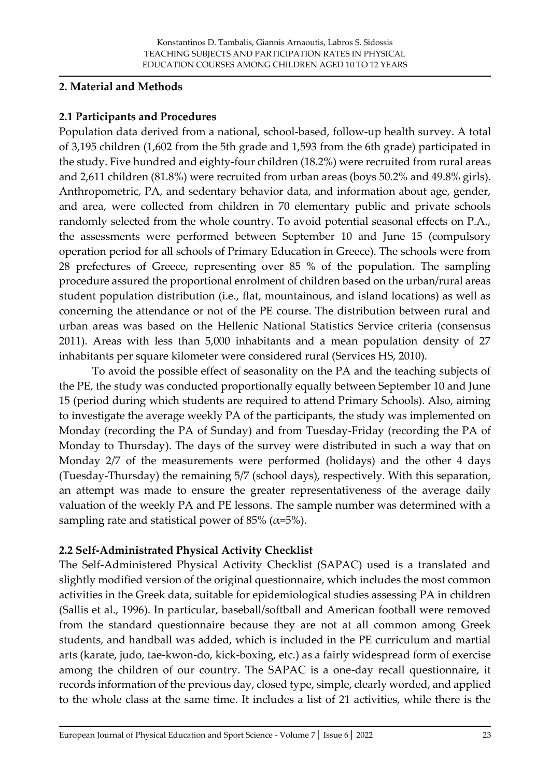### **2. Material and Methods**

# **2.1 Participants and Procedures**

Population data derived from a national, school-based, follow-up health survey. A total of 3,195 children (1,602 from the 5th grade and 1,593 from the 6th grade) participated in the study. Five hundred and eighty-four children (18.2%) were recruited from rural areas and 2,611 children (81.8%) were recruited from urban areas (boys 50.2% and 49.8% girls). Anthropometric, PA, and sedentary behavior data, and information about age, gender, and area, were collected from children in 70 elementary public and private schools randomly selected from the whole country. To avoid potential seasonal effects on P.A., the assessments were performed between September 10 and June 15 (compulsory operation period for all schools of Primary Education in Greece). The schools were from 28 prefectures of Greece, representing over 85 % of the population. The sampling procedure assured the proportional enrolment of children based on the urban/rural areas student population distribution (i.e., flat, mountainous, and island locations) as well as concerning the attendance or not of the PE course. The distribution between rural and urban areas was based on the Hellenic National Statistics Service criteria (consensus 2011). Areas with less than 5,000 inhabitants and a mean population density of 27 inhabitants per square kilometer were considered rural (Services HS, 2010).

To avoid the possible effect of seasonality on the PA and the teaching subjects of the PE, the study was conducted proportionally equally between September 10 and June 15 (period during which students are required to attend Primary Schools). Also, aiming to investigate the average weekly PA of the participants, the study was implemented on Monday (recording the PA of Sunday) and from Tuesday-Friday (recording the PA of Monday to Thursday). The days of the survey were distributed in such a way that on Monday 2/7 of the measurements were performed (holidays) and the other 4 days (Tuesday-Thursday) the remaining 5/7 (school days), respectively. With this separation, an attempt was made to ensure the greater representativeness of the average daily valuation of the weekly PA and PE lessons. The sample number was determined with a sampling rate and statistical power of 85% ( $\alpha$ =5%).

# **2.2 Self-Administrated Physical Activity Checklist**

The Self-Administered Physical Activity Checklist (SAPAC) used is a translated and slightly modified version of the original questionnaire, which includes the most common activities in the Greek data, suitable for epidemiological studies assessing PA in children (Sallis et al., 1996). In particular, baseball/softball and American football were removed from the standard questionnaire because they are not at all common among Greek students, and handball was added, which is included in the PE curriculum and martial arts (karate, judo, tae-kwon-do, kick-boxing, etc.) as a fairly widespread form of exercise among the children of our country. The SAPAC is a one-day recall questionnaire, it records information of the previous day, closed type, simple, clearly worded, and applied to the whole class at the same time. It includes a list of 21 activities, while there is the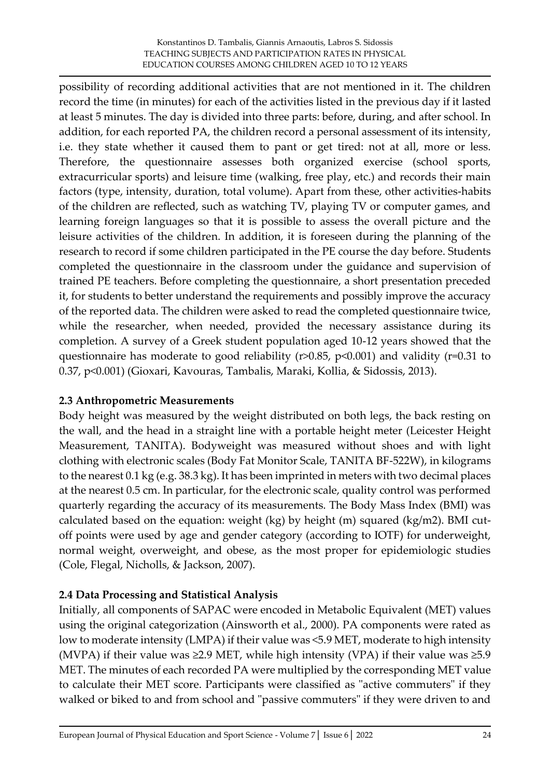possibility of recording additional activities that are not mentioned in it. The children record the time (in minutes) for each of the activities listed in the previous day if it lasted at least 5 minutes. The day is divided into three parts: before, during, and after school. In addition, for each reported PA, the children record a personal assessment of its intensity, i.e. they state whether it caused them to pant or get tired: not at all, more or less. Therefore, the questionnaire assesses both organized exercise (school sports, extracurricular sports) and leisure time (walking, free play, etc.) and records their main factors (type, intensity, duration, total volume). Apart from these, other activities-habits of the children are reflected, such as watching TV, playing TV or computer games, and learning foreign languages so that it is possible to assess the overall picture and the leisure activities of the children. In addition, it is foreseen during the planning of the research to record if some children participated in the PE course the day before. Students completed the questionnaire in the classroom under the guidance and supervision of trained PE teachers. Before completing the questionnaire, a short presentation preceded it, for students to better understand the requirements and possibly improve the accuracy of the reported data. The children were asked to read the completed questionnaire twice, while the researcher, when needed, provided the necessary assistance during its completion. A survey of a Greek student population aged 10-12 years showed that the questionnaire has moderate to good reliability ( $r > 0.85$ ,  $p < 0.001$ ) and validity ( $r = 0.31$  to 0.37, p<0.001) (Gioxari, Kavouras, Tambalis, Maraki, Kollia, & Sidossis, 2013).

# **2.3 Anthropometric Measurements**

Body height was measured by the weight distributed on both legs, the back resting on the wall, and the head in a straight line with a portable height meter (Leicester Height Measurement, TANITA). Bodyweight was measured without shoes and with light clothing with electronic scales (Body Fat Monitor Scale, TANITA BF-522W), in kilograms to the nearest 0.1 kg (e.g. 38.3 kg). It has been imprinted in meters with two decimal places at the nearest 0.5 cm. In particular, for the electronic scale, quality control was performed quarterly regarding the accuracy of its measurements. The Body Mass Index (BMI) was calculated based on the equation: weight (kg) by height (m) squared (kg/m2). BMI cutoff points were used by age and gender category (according to IOTF) for underweight, normal weight, overweight, and obese, as the most proper for epidemiologic studies (Cole, Flegal, Nicholls, & Jackson, 2007).

# **2.4 Data Processing and Statistical Analysis**

Initially, all components of SAPAC were encoded in Metabolic Equivalent (MET) values using the original categorization (Ainsworth et al., 2000). PA components were rated as low to moderate intensity (LMPA) if their value was <5.9 MET, moderate to high intensity (MVPA) if their value was  $\geq$ 2.9 MET, while high intensity (VPA) if their value was  $\geq$ 5.9 ΜΕΤ. The minutes of each recorded PA were multiplied by the corresponding MET value to calculate their MET score. Participants were classified as "active commuters" if they walked or biked to and from school and "passive commuters" if they were driven to and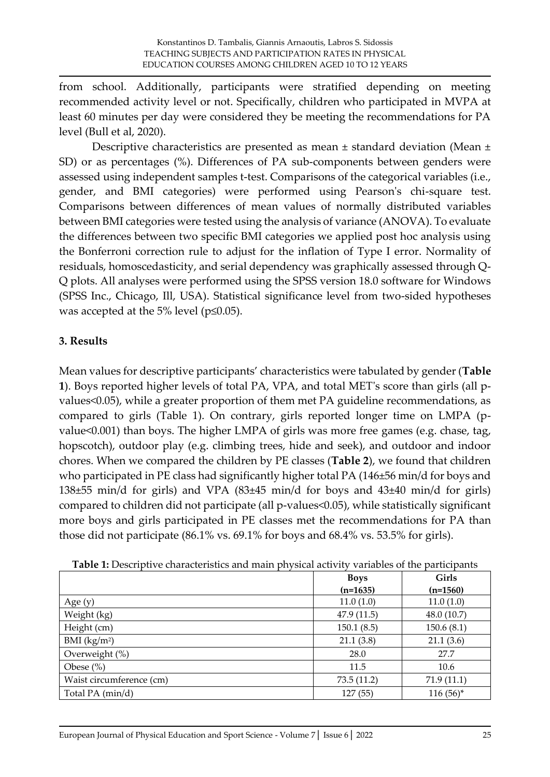from school. Additionally, participants were stratified depending on meeting recommended activity level or not. Specifically, children who participated in MVPA at least 60 minutes per day were considered they be meeting the recommendations for PA level (Bull et al, 2020).

Descriptive characteristics are presented as mean ± standard deviation (Mean ± SD) or as percentages (%). Differences of PA sub-components between genders were assessed using independent samples t-test. Comparisons of the categorical variables (i.e., gender, and BMI categories) were performed using Pearson's chi-square test. Comparisons between differences of mean values of normally distributed variables between BMI categories were tested using the analysis of variance (ANOVA). To evaluate the differences between two specific BMI categories we applied post hoc analysis using the Bonferroni correction rule to adjust for the inflation of Type I error. Normality of residuals, homoscedasticity, and serial dependency was graphically assessed through Q-Q plots. All analyses were performed using the SPSS version 18.0 software for Windows (SPSS Inc., Chicago, Ill, USA). Statistical significance level from two-sided hypotheses was accepted at the 5% level ( $p \le 0.05$ ).

# **3. Results**

Mean values for descriptive participants' characteristics were tabulated by gender (**Table 1**). Boys reported higher levels of total PA, VPA, and total MET's score than girls (all pvalues<0.05), while a greater proportion of them met PA guideline recommendations, as compared to girls (Table 1). On contrary, girls reported longer time on LMPA (pvalue<0.001) than boys. The higher LMPA of girls was more free games (e.g. chase, tag, hopscotch), outdoor play (e.g. climbing trees, hide and seek), and outdoor and indoor chores. When we compared the children by PE classes (**Table 2**), we found that children who participated in PE class had significantly higher total PA (146±56 min/d for boys and 138±55 min/d for girls) and VPA (83±45 min/d for boys and 43±40 min/d for girls) compared to children did not participate (all p-values<0.05), while statistically significant more boys and girls participated in PE classes met the recommendations for PA than those did not participate (86.1% vs. 69.1% for boys and 68.4% vs. 53.5% for girls).

|                          | <b>Boys</b> | Girls       |
|--------------------------|-------------|-------------|
|                          | $(n=1635)$  | $(n=1560)$  |
| Age $(y)$                | 11.0(1.0)   | 11.0(1.0)   |
| Weight (kg)              | 47.9(11.5)  | 48.0 (10.7) |
| Height (cm)              | 150.1(8.5)  | 150.6(8.1)  |
| BMI $(kg/m2)$            | 21.1(3.8)   | 21.1(3.6)   |
| Overweight (%)           | 28.0        | 27.7        |
| Obese $(\% )$            | 11.5        | 10.6        |
| Waist circumference (cm) | 73.5(11.2)  | 71.9(11.1)  |
| Total PA (min/d)         | 127 (55)    | $116(56)^*$ |

**Table 1:** Descriptive characteristics and main physical activity variables of the participants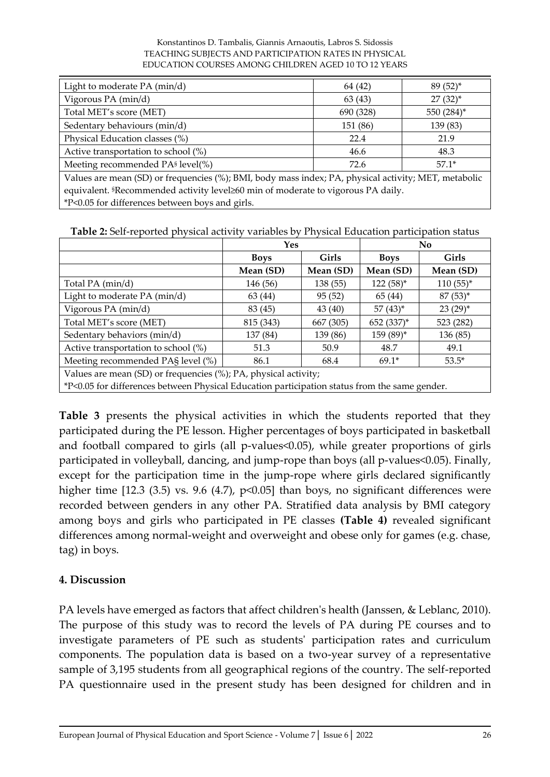#### Konstantinos D. Tambalis, Giannis Arnaoutis, Labros S. Sidossis TEACHING SUBJECTS AND PARTICIPATION RATES IN PHYSICAL EDUCATION COURSES AMONG CHILDREN AGED 10 TO 12 YEARS

| Light to moderate PA (min/d)                                                                         | 64 (42)   | $89(52)^*$   |  |  |  |
|------------------------------------------------------------------------------------------------------|-----------|--------------|--|--|--|
| Vigorous PA (min/d)                                                                                  | 63(43)    | $27(32)^{*}$ |  |  |  |
| Total MET's score (MET)                                                                              | 690 (328) | 550 (284)*   |  |  |  |
| Sedentary behaviours (min/d)                                                                         | 151 (86)  | 139 (83)     |  |  |  |
| Physical Education classes (%)                                                                       | 22.4      | 21.9         |  |  |  |
| Active transportation to school (%)                                                                  | 46.6      | 48.3         |  |  |  |
| Meeting recommended PA <sup>§</sup> level(%)                                                         | 72.6      | $57.1*$      |  |  |  |
| Values are mean (SD) or frequencies (%); BMI, body mass index; PA, physical activity; MET, metabolic |           |              |  |  |  |
| equivalent. <sup>§</sup> Recommended activity level≥60 min of moderate to vigorous PA daily.         |           |              |  |  |  |
| *P<0.05 for differences between boys and girls.                                                      |           |              |  |  |  |

| <b>Table 2:</b> Self-reported physical activity variables by Physical Education participation status |  |  |  |
|------------------------------------------------------------------------------------------------------|--|--|--|
|------------------------------------------------------------------------------------------------------|--|--|--|

|                                                                                               | Yes                         |           | No           |              |  |
|-----------------------------------------------------------------------------------------------|-----------------------------|-----------|--------------|--------------|--|
|                                                                                               | <b>Girls</b><br><b>Boys</b> |           | <b>Boys</b>  | <b>Girls</b> |  |
|                                                                                               | Mean (SD)                   | Mean (SD) | Mean (SD)    | Mean (SD)    |  |
| Total PA (min/d)                                                                              | 146 (56)                    | 138 (55)  | $122(58)^*$  | $110(55)^*$  |  |
| Light to moderate PA (min/d)                                                                  | 63 (44)                     | 95(52)    | 65 (44)      | $87(53)^*$   |  |
| Vigorous PA (min/d)                                                                           | 83 (45)                     | 43(40)    | $57(43)^{*}$ | $23(29)^*$   |  |
| Total MET's score (MET)                                                                       | 815 (343)                   | 667 (305) | 652 (337)*   | 523 (282)    |  |
| Sedentary behaviors (min/d)                                                                   | 137 (84)                    | 139 (86)  | 159 (89)*    | 136 (85)     |  |
| Active transportation to school (%)                                                           | 51.3                        | 50.9      | 48.7         | 49.1         |  |
| Meeting recommended PAS level (%)                                                             | 86.1                        | 68.4      | $69.1*$      | $53.5*$      |  |
| Values are mean (SD) or frequencies (%); PA, physical activity;                               |                             |           |              |              |  |
| *P<0.05 for differences between Physical Education participation status from the same gender. |                             |           |              |              |  |

**Table 3** presents the physical activities in which the students reported that they participated during the PE lesson. Higher percentages of boys participated in basketball and football compared to girls (all p-values<0.05), while greater proportions of girls participated in volleyball, dancing, and jump-rope than boys (all p-values<0.05). Finally, except for the participation time in the jump-rope where girls declared significantly higher time  $[12.3 \ (3.5) \ vs. 9.6 \ (4.7), \ p<0.05]$  than boys, no significant differences were recorded between genders in any other PA. Stratified data analysis by BMI category among boys and girls who participated in PE classes **(Table 4)** revealed significant differences among normal-weight and overweight and obese only for games (e.g. chase, tag) in boys.

# **4. Discussion**

PA levels have emerged as factors that affect children's health (Janssen, & Leblanc, 2010). The purpose of this study was to record the levels of PA during PE courses and to investigate parameters of PE such as students' participation rates and curriculum components. The population data is based on a two-year survey of a representative sample of 3,195 students from all geographical regions of the country. The self-reported PA questionnaire used in the present study has been designed for children and in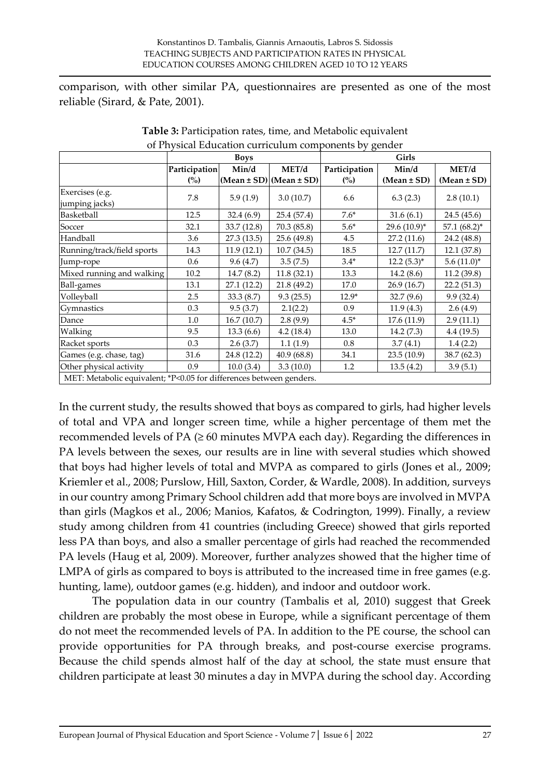comparison, with other similar PA, questionnaires are presented as one of the most reliable (Sirard, & Pate, 2001).

| of Fity sical Education curriculum components by genuer             |                |             |                                  |                |                 |                 |
|---------------------------------------------------------------------|----------------|-------------|----------------------------------|----------------|-----------------|-----------------|
|                                                                     | <b>Boys</b>    |             |                                  | Girls          |                 |                 |
|                                                                     | Participation  | Min/d       | MET/d                            | Participation  | Min/d           | MET/d           |
|                                                                     | $\binom{0}{0}$ |             | $(Mean \pm SD)$ (Mean $\pm SD$ ) | $\binom{0}{0}$ | $(Mean \pm SD)$ | $(Mean \pm SD)$ |
| Exercises (e.g.                                                     |                |             |                                  |                |                 |                 |
| jumping jacks)                                                      | 7.8            | 5.9(1.9)    | 3.0(10.7)                        | 6.6            | 6.3(2.3)        | 2.8(10.1)       |
| Basketball                                                          | 12.5           | 32.4(6.9)   | 25.4 (57.4)                      | $7.6*$         | 31.6(6.1)       | 24.5 (45.6)     |
| Soccer                                                              | 32.1           | 33.7 (12.8) | 70.3(85.8)                       | $5.6*$         | 29.6 (10.9)*    | $57.1~(68.2)^*$ |
| Handball                                                            | 3.6            | 27.3 (13.5) | 25.6 (49.8)                      | 4.5            | 27.2(11.6)      | 24.2 (48.8)     |
| Running/track/field sports                                          | 14.3           | 11.9(12.1)  | 10.7(34.5)                       | 18.5           | 12.7(11.7)      | 12.1 (37.8)     |
| Jump-rope                                                           | 0.6            | 9.6(4.7)    | 3.5(7.5)                         | $3.4*$         | $12.2(5.3)^{*}$ | $5.6(11.0)^*$   |
| Mixed running and walking                                           | 10.2           | 14.7(8.2)   | 11.8(32.1)                       | 13.3           | 14.2 $(8.6)$    | 11.2 (39.8)     |
| Ball-games                                                          | 13.1           | 27.1 (12.2) | 21.8 (49.2)                      | 17.0           | 26.9 (16.7)     | 22.2 (51.3)     |
| Volleyball                                                          | 2.5            | 33.3(8.7)   | 9.3(25.5)                        | $12.9*$        | 32.7(9.6)       | 9.9(32.4)       |
| Gymnastics                                                          | 0.3            | 9.5(3.7)    | 2.1(2.2)                         | 0.9            | 11.9(4.3)       | 2.6(4.9)        |
| Dance                                                               | 1.0            | 16.7(10.7)  | 2.8(9.9)                         | $4.5*$         | 17.6(11.9)      | 2.9(11.1)       |
| Walking                                                             | 9.5            | 13.3(6.6)   | 4.2(18.4)                        | 13.0           | 14.2(7.3)       | 4.4(19.5)       |
| Racket sports                                                       | 0.3            | 2.6(3.7)    | 1.1(1.9)                         | 0.8            | 3.7(4.1)        | 1.4(2.2)        |
| Games (e.g. chase, tag)                                             | 31.6           | 24.8 (12.2) | 40.9(68.8)                       | 34.1           | 23.5(10.9)      | 38.7 (62.3)     |
| Other physical activity                                             | 0.9            | 10.0(3.4)   | 3.3(10.0)                        | 1.2            | 13.5(4.2)       | 3.9(5.1)        |
| MET: Metabolic equivalent; *P<0.05 for differences between genders. |                |             |                                  |                |                 |                 |

| Table 3: Participation rates, time, and Metabolic equivalent |
|--------------------------------------------------------------|
| of Physical Education curriculum components by gender        |

In the current study, the results showed that boys as compared to girls, had higher levels of total and VPA and longer screen time, while a higher percentage of them met the recommended levels of PA  $(≥ 60$  minutes MVPA each day). Regarding the differences in PA levels between the sexes, our results are in line with several studies which showed that boys had higher levels of total and MVPA as compared to girls (Jones et al., 2009; Kriemler et al., 2008; Purslow, Hill, Saxton, Corder, & Wardle, 2008). In addition, surveys in our country among Primary School children add that more boys are involved in MVPA than girls (Magkos et al., 2006; Manios, Kafatos, & Codrington, 1999). Finally, a review study among children from 41 countries (including Greece) showed that girls reported less PA than boys, and also a smaller percentage of girls had reached the recommended PA levels (Haug et al, 2009). Moreover, further analyzes showed that the higher time of LMPA of girls as compared to boys is attributed to the increased time in free games (e.g. hunting, lame), outdoor games (e.g. hidden), and indoor and outdoor work.

The population data in our country (Tambalis et al, 2010) suggest that Greek children are probably the most obese in Europe, while a significant percentage of them do not meet the recommended levels of PA. In addition to the PE course, the school can provide opportunities for PA through breaks, and post-course exercise programs. Because the child spends almost half of the day at school, the state must ensure that children participate at least 30 minutes a day in MVPA during the school day. According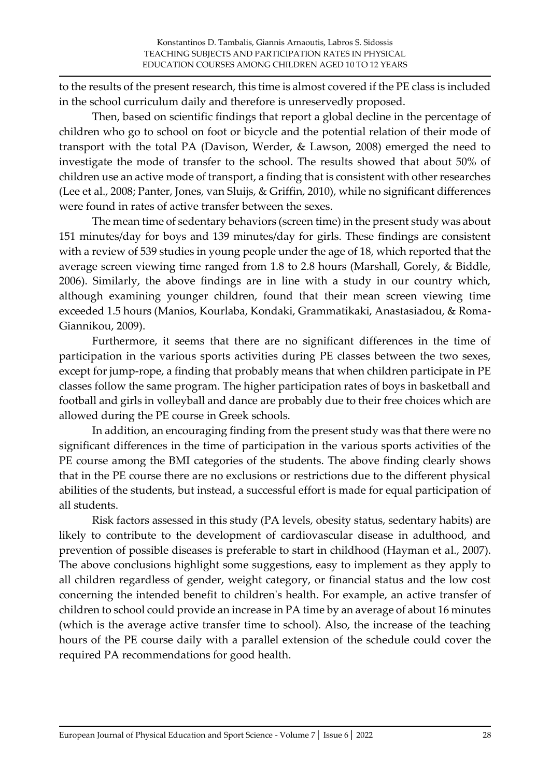to the results of the present research, this time is almost covered if the PE class is included in the school curriculum daily and therefore is unreservedly proposed.

Then, based on scientific findings that report a global decline in the percentage of children who go to school on foot or bicycle and the potential relation of their mode of transport with the total PA (Davison, Werder, & Lawson, 2008) emerged the need to investigate the mode of transfer to the school. The results showed that about 50% of children use an active mode of transport, a finding that is consistent with other researches (Lee et al., 2008; Panter, Jones, van Sluijs, & Griffin, 2010), while no significant differences were found in rates of active transfer between the sexes.

The mean time of sedentary behaviors (screen time) in the present study was about 151 minutes/day for boys and 139 minutes/day for girls. These findings are consistent with a review of 539 studies in young people under the age of 18, which reported that the average screen viewing time ranged from 1.8 to 2.8 hours (Marshall, Gorely, & Biddle, 2006). Similarly, the above findings are in line with a study in our country which, although examining younger children, found that their mean screen viewing time exceeded 1.5 hours (Manios, Kourlaba, Kondaki, Grammatikaki, Anastasiadou, & Roma-Giannikou, 2009).

Furthermore, it seems that there are no significant differences in the time of participation in the various sports activities during PE classes between the two sexes, except for jump-rope, a finding that probably means that when children participate in PE classes follow the same program. The higher participation rates of boys in basketball and football and girls in volleyball and dance are probably due to their free choices which are allowed during the PE course in Greek schools.

In addition, an encouraging finding from the present study was that there were no significant differences in the time of participation in the various sports activities of the PE course among the BMI categories of the students. The above finding clearly shows that in the PE course there are no exclusions or restrictions due to the different physical abilities of the students, but instead, a successful effort is made for equal participation of all students.

Risk factors assessed in this study (PA levels, obesity status, sedentary habits) are likely to contribute to the development of cardiovascular disease in adulthood, and prevention of possible diseases is preferable to start in childhood (Hayman et al., 2007). The above conclusions highlight some suggestions, easy to implement as they apply to all children regardless of gender, weight category, or financial status and the low cost concerning the intended benefit to children's health. For example, an active transfer of children to school could provide an increase in PA time by an average of about 16 minutes (which is the average active transfer time to school). Also, the increase of the teaching hours of the PE course daily with a parallel extension of the schedule could cover the required PA recommendations for good health.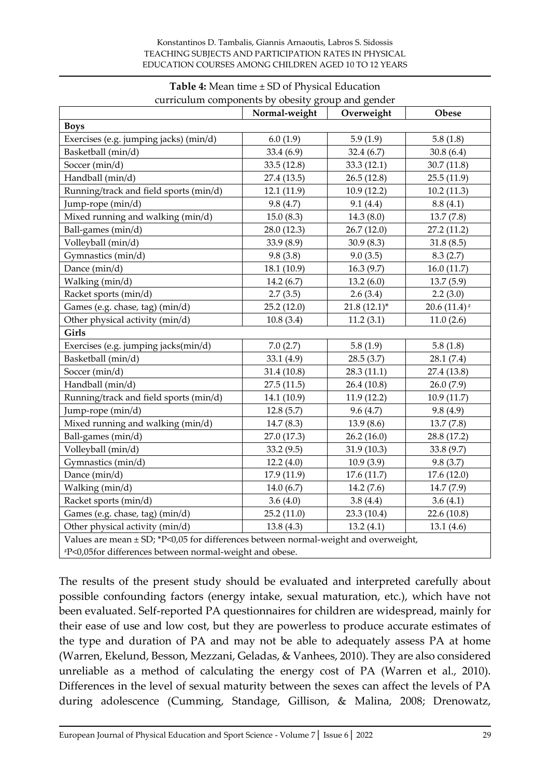|                                                                                     | curriculum components by obesity group and gender<br>Normal-weight | Overweight     | Obese           |  |  |  |
|-------------------------------------------------------------------------------------|--------------------------------------------------------------------|----------------|-----------------|--|--|--|
| <b>Boys</b>                                                                         |                                                                    |                |                 |  |  |  |
| Exercises (e.g. jumping jacks) (min/d)                                              | 6.0(1.9)                                                           | 5.9(1.9)       | 5.8(1.8)        |  |  |  |
| Basketball (min/d)                                                                  | 33.4(6.9)                                                          | 32.4(6.7)      | 30.8(6.4)       |  |  |  |
| Soccer (min/d)                                                                      | 33.5(12.8)                                                         | 33.3(12.1)     | 30.7(11.8)      |  |  |  |
| Handball (min/d)                                                                    | 27.4 (13.5)                                                        | 26.5(12.8)     | 25.5(11.9)      |  |  |  |
| Running/track and field sports (min/d)                                              | 12.1(11.9)                                                         | 10.9(12.2)     | 10.2(11.3)      |  |  |  |
| Jump-rope (min/d)                                                                   | 9.8(4.7)                                                           | 9.1(4.4)       | 8.8(4.1)        |  |  |  |
| Mixed running and walking (min/d)                                                   | 15.0(8.3)                                                          | 14.3(8.0)      | 13.7(7.8)       |  |  |  |
| Ball-games (min/d)                                                                  | 28.0 (12.3)                                                        | 26.7(12.0)     | 27.2(11.2)      |  |  |  |
| Volleyball (min/d)                                                                  | 33.9(8.9)                                                          | 30.9(8.3)      | 31.8(8.5)       |  |  |  |
| Gymnastics (min/d)                                                                  | 9.8(3.8)                                                           | 9.0(3.5)       | 8.3(2.7)        |  |  |  |
| Dance (min/d)                                                                       | 18.1 (10.9)                                                        | 16.3(9.7)      | 16.0(11.7)      |  |  |  |
| Walking (min/d)                                                                     | 14.2(6.7)                                                          | 13.2(6.0)      | 13.7(5.9)       |  |  |  |
| Racket sports (min/d)                                                               | 2.7(3.5)                                                           | 2.6(3.4)       | 2.2(3.0)        |  |  |  |
| Games (e.g. chase, tag) (min/d)                                                     | 25.2(12.0)                                                         | $21.8(12.1)^*$ | 20.6 $(11.4)$ # |  |  |  |
| Other physical activity (min/d)                                                     | 10.8(3.4)                                                          | 11.2(3.1)      | 11.0(2.6)       |  |  |  |
| Girls                                                                               |                                                                    |                |                 |  |  |  |
| Exercises (e.g. jumping jacks(min/d)                                                | 7.0(2.7)                                                           | 5.8(1.9)       | 5.8(1.8)        |  |  |  |
| Basketball (min/d)                                                                  | 33.1(4.9)                                                          | 28.5(3.7)      | 28.1(7.4)       |  |  |  |
| Soccer (min/d)                                                                      | 31.4 (10.8)                                                        | 28.3(11.1)     | 27.4 (13.8)     |  |  |  |
| Handball (min/d)                                                                    | 27.5(11.5)                                                         | 26.4(10.8)     | 26.0(7.9)       |  |  |  |
| Running/track and field sports (min/d)                                              | 14.1 (10.9)                                                        | 11.9(12.2)     | 10.9(11.7)      |  |  |  |
| Jump-rope (min/d)                                                                   | 12.8(5.7)                                                          | 9.6(4.7)       | 9.8(4.9)        |  |  |  |
| Mixed running and walking (min/d)                                                   | 14.7(8.3)                                                          | 13.9 (8.6)     | 13.7(7.8)       |  |  |  |
| Ball-games (min/d)                                                                  | 27.0 (17.3)                                                        | 26.2(16.0)     | 28.8 (17.2)     |  |  |  |
| Volleyball (min/d)                                                                  | 33.2(9.5)                                                          | 31.9(10.3)     | 33.8 (9.7)      |  |  |  |
| Gymnastics (min/d)                                                                  | 12.2(4.0)                                                          | 10.9(3.9)      | 9.8(3.7)        |  |  |  |
| Dance (min/d)                                                                       | 17.9 (11.9)                                                        | 17.6(11.7)     | 17.6(12.0)      |  |  |  |
| Walking (min/d)                                                                     | 14.0 $(6.7)$                                                       | 14.2 (7.6)     | 14.7 (7.9)      |  |  |  |
| Racket sports (min/d)                                                               | 3.6 $(4.0)$                                                        | 3.8(4.4)       | 3.6(4.1)        |  |  |  |
| Games (e.g. chase, tag) (min/d)                                                     | 25.2(11.0)                                                         | 23.3 (10.4)    | 22.6 (10.8)     |  |  |  |
| Other physical activity (min/d)                                                     | 13.8(4.3)                                                          | 13.2(4.1)      | 13.1(4.6)       |  |  |  |
| Values are mean ± SD; *P<0,05 for differences between normal-weight and overweight, |                                                                    |                |                 |  |  |  |
| #P<0,05for differences between normal-weight and obese.                             |                                                                    |                |                 |  |  |  |

#### **Table 4:** Mean time ± SD of Physical Education curriculum components by obesity group and gender

The results of the present study should be evaluated and interpreted carefully about possible confounding factors (energy intake, sexual maturation, etc.), which have not been evaluated. Self-reported PA questionnaires for children are widespread, mainly for their ease of use and low cost, but they are powerless to produce accurate estimates of the type and duration of PA and may not be able to adequately assess PA at home (Warren, Ekelund, Besson, Mezzani, Geladas, & Vanhees, 2010). They are also considered unreliable as a method of calculating the energy cost of PA (Warren et al., 2010). Differences in the level of sexual maturity between the sexes can affect the levels of PA during adolescence (Cumming, Standage, Gillison, & Malina, 2008; Drenowatz,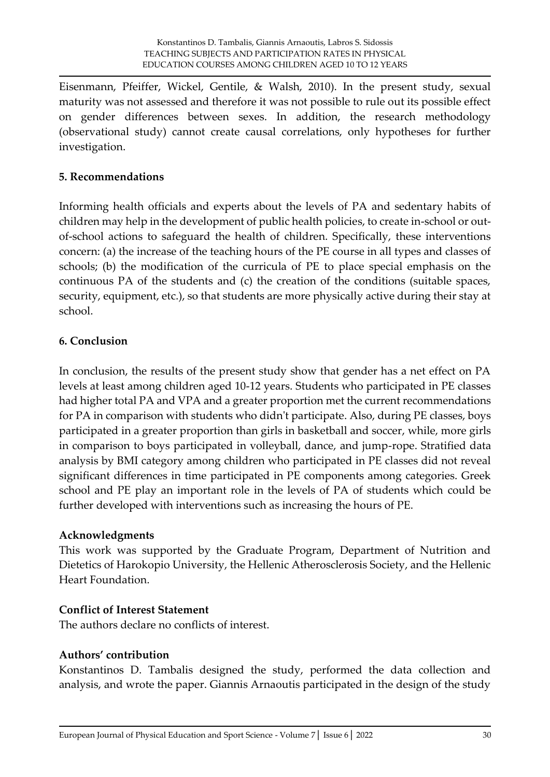Eisenmann, Pfeiffer, Wickel, Gentile, & Walsh, 2010). In the present study, sexual maturity was not assessed and therefore it was not possible to rule out its possible effect on gender differences between sexes. In addition, the research methodology (observational study) cannot create causal correlations, only hypotheses for further investigation.

### **5. Recommendations**

Informing health officials and experts about the levels of PA and sedentary habits of children may help in the development of public health policies, to create in-school or outof-school actions to safeguard the health of children. Specifically, these interventions concern: (a) the increase of the teaching hours of the PE course in all types and classes of schools; (b) the modification of the curricula of PE to place special emphasis on the continuous PA of the students and (c) the creation of the conditions (suitable spaces, security, equipment, etc.), so that students are more physically active during their stay at school.

# **6. Conclusion**

In conclusion, the results of the present study show that gender has a net effect on PA levels at least among children aged 10-12 years. Students who participated in PE classes had higher total PA and VPA and a greater proportion met the current recommendations for PA in comparison with students who didn't participate. Also, during PE classes, boys participated in a greater proportion than girls in basketball and soccer, while, more girls in comparison to boys participated in volleyball, dance, and jump-rope. Stratified data analysis by BMI category among children who participated in PE classes did not reveal significant differences in time participated in PE components among categories. Greek school and PE play an important role in the levels of PA of students which could be further developed with interventions such as increasing the hours of PE.

### **Acknowledgments**

This work was supported by the Graduate Program, Department of Nutrition and Dietetics of Harokopio University, the Hellenic Atherosclerosis Society, and the Hellenic Heart Foundation.

### **Conflict of Interest Statement**

The authors declare no conflicts of interest.

#### **Authors' contribution**

Konstantinos D. Tambalis designed the study, performed the data collection and analysis, and wrote the paper. Giannis Arnaoutis participated in the design of the study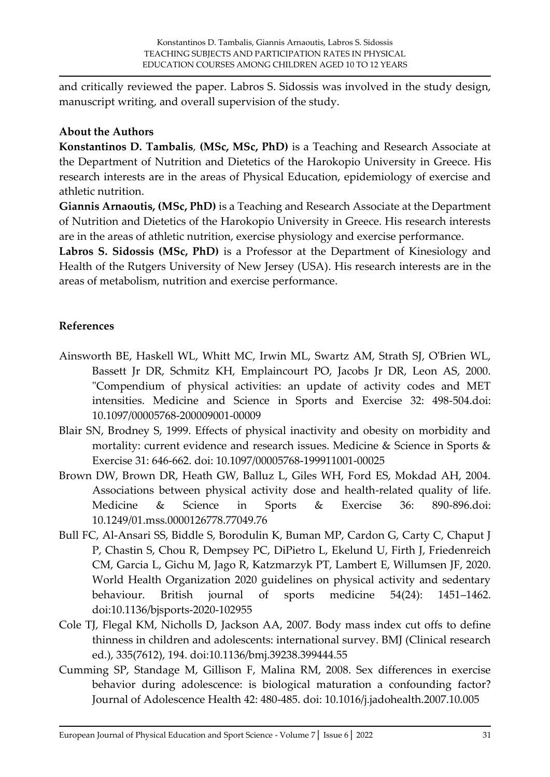and critically reviewed the paper. Labros S. Sidossis was involved in the study design, manuscript writing, and overall supervision of the study.

### **About the Authors**

**Konstantinos D. Tambalis**, **(MSc, MSc, PhD)** is a Teaching and Research Associate at the Department of Nutrition and Dietetics of the Harokopio University in Greece. His research interests are in the areas of Physical Education, epidemiology of exercise and athletic nutrition.

**Giannis Arnaoutis, (MSc, PhD)** is a Teaching and Research Associate at the Department of Nutrition and Dietetics of the Harokopio University in Greece. His research interests are in the areas of athletic nutrition, exercise physiology and exercise performance.

**Labros S. Sidossis (MSc, PhD)** is a Professor at the Department of Kinesiology and Health of the Rutgers University of New Jersey (USA). His research interests are in the areas of metabolism, nutrition and exercise performance.

# **References**

- Ainsworth BE, Haskell WL, Whitt MC, Irwin ML, Swartz AM, Strath SJ, O'Brien WL, Bassett Jr DR, Schmitz KH, Emplaincourt PO, Jacobs Jr DR, Leon AS, 2000. "Compendium of physical activities: an update of activity codes and MET intensities. Medicine and Science in Sports and Exercise 32: 498-504.doi: 10.1097/00005768-200009001-00009
- Blair SN, Brodney S, 1999. Effects of physical inactivity and obesity on morbidity and mortality: current evidence and research issues. Medicine & Science in Sports & Exercise 31: 646-662. doi: 10.1097/00005768-199911001-00025
- Brown DW, Brown DR, Heath GW, Balluz L, Giles WH, Ford ES, Mokdad AH, 2004. Associations between physical activity dose and health-related quality of life. Medicine & Science in Sports & Exercise 36: 890-896.doi: 10.1249/01.mss.0000126778.77049.76
- Bull FC, Al-Ansari SS, Biddle S, Borodulin K, Buman MP, Cardon G, Carty C, Chaput J P, Chastin S, Chou R, Dempsey PC, DiPietro L, Ekelund U, Firth J, Friedenreich CM, Garcia L, Gichu M, Jago R, Katzmarzyk PT, Lambert E, Willumsen JF, 2020. World Health Organization 2020 guidelines on physical activity and sedentary behaviour. British journal of sports medicine 54(24): 1451–1462. doi:10.1136/bjsports-2020-102955
- Cole TJ, Flegal KM, Nicholls D, Jackson AA, 2007. Body mass index cut offs to define thinness in children and adolescents: international survey. BMJ (Clinical research ed.), 335(7612), 194. doi:10.1136/bmj.39238.399444.55
- Cumming SP, Standage M, Gillison F, Malina RM, 2008. Sex differences in exercise behavior during adolescence: is biological maturation a confounding factor? Journal of Adolescence Health 42: 480-485. doi: 10.1016/j.jadohealth.2007.10.005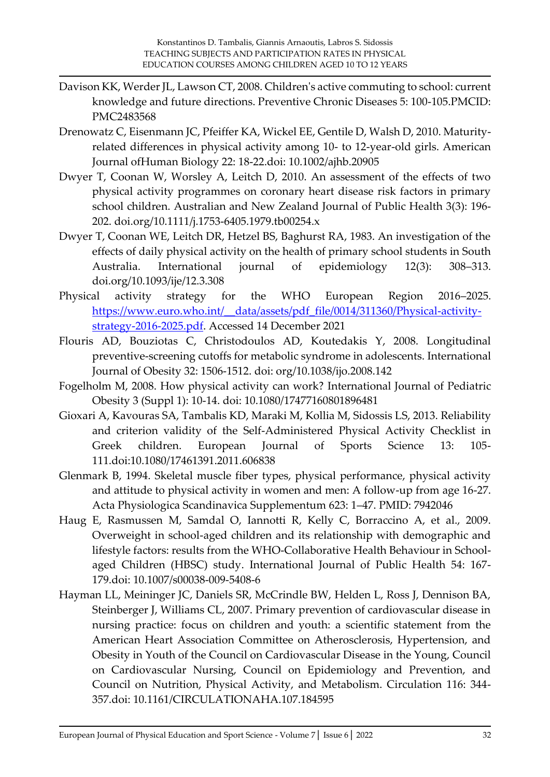- Davison KK, Werder JL, Lawson CT, 2008. Children's active commuting to school: current knowledge and future directions. Preventive Chronic Diseases 5: 100-105.PMCID: PMC2483568
- Drenowatz C, Eisenmann JC, Pfeiffer KA, Wickel EE, Gentile D, Walsh D, 2010. Maturityrelated differences in physical activity among 10- to 12-year-old girls. American Journal ofHuman Biology 22: 18-22.doi: 10.1002/ajhb.20905
- Dwyer T, Coonan W, Worsley A, Leitch D, 2010. An assessment of the effects of two physical activity programmes on coronary heart disease risk factors in primary school children. Australian and New Zealand Journal of Public Health 3(3): 196- 202. doi.org/10.1111/j.1753-6405.1979.tb00254.x
- Dwyer T, Coonan WE, Leitch DR, Hetzel BS, Baghurst RA, 1983. An investigation of the effects of daily physical activity on the health of primary school students in South Australia. International journal of epidemiology 12(3): 308–313. doi.org/10.1093/ije/12.3.308
- Physical activity strategy for the WHO European Region 2016–2025. [https://www.euro.who.int/\\_\\_data/assets/pdf\\_file/0014/311360/Physical-activity](https://www.euro.who.int/__data/assets/pdf_file/0014/311360/Physical-activity-strategy-2016-2025.pdf)[strategy-2016-2025.pdf.](https://www.euro.who.int/__data/assets/pdf_file/0014/311360/Physical-activity-strategy-2016-2025.pdf) Accessed 14 December 2021
- Flouris AD, Bouziotas C, Christodoulos AD, Koutedakis Y, 2008. Longitudinal preventive-screening cutoffs for metabolic syndrome in adolescents. International Journal of Obesity 32: 1506-1512. doi: org/10.1038/ijo.2008.142
- Fogelholm M, 2008. How physical activity can work? International Journal of Pediatric Obesity 3 (Suppl 1): 10-14. doi: 10.1080/17477160801896481
- Gioxari A, Kavouras SA, Tambalis KD, Maraki M, Kollia M, Sidossis LS, 2013. Reliability and criterion validity of the Self-Administered Physical Activity Checklist in Greek children. European Journal of Sports Science 13: 105- 111.doi:10.1080/17461391.2011.606838
- Glenmark B, 1994. Skeletal muscle fiber types, physical performance, physical activity and attitude to physical activity in women and men: A follow-up from age 16-27. Acta Physiologica Scandinavica Supplementum 623: 1–47. PMID: 7942046
- Haug E, Rasmussen M, Samdal O, Iannotti R, Kelly C, Borraccino A, et al., 2009. Overweight in school-aged children and its relationship with demographic and lifestyle factors: results from the WHO-Collaborative Health Behaviour in Schoolaged Children (HBSC) study. International Journal of Public Health 54: 167- 179.doi: 10.1007/s00038-009-5408-6
- Hayman LL, Meininger JC, Daniels SR, McCrindle BW, Helden L, Ross J, Dennison BA, Steinberger J, Williams CL, 2007. Primary prevention of cardiovascular disease in nursing practice: focus on children and youth: a scientific statement from the American Heart Association Committee on Atherosclerosis, Hypertension, and Obesity in Youth of the Council on Cardiovascular Disease in the Young, Council on Cardiovascular Nursing, Council on Epidemiology and Prevention, and Council on Nutrition, Physical Activity, and Metabolism. Circulation 116: 344- 357.doi: 10.1161/CIRCULATIONAHA.107.184595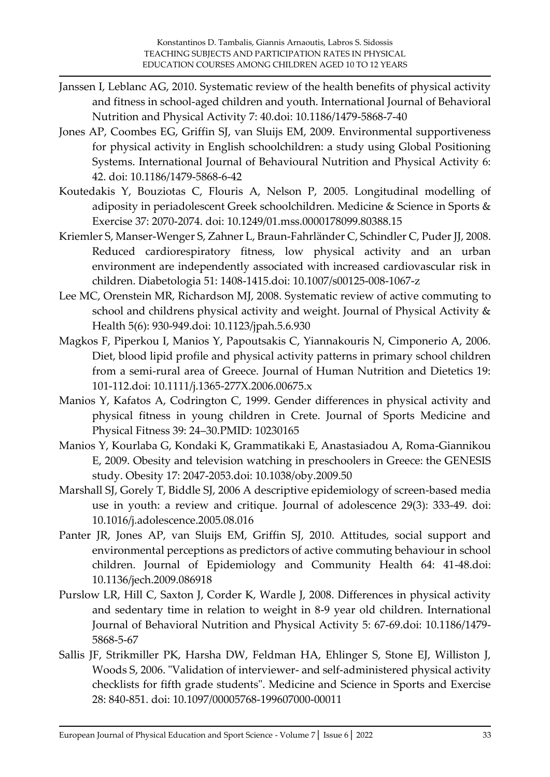- Janssen I, Leblanc AG, 2010. Systematic review of the health benefits of physical activity and fitness in school-aged children and youth. International Journal of Behavioral Nutrition and Physical Activity 7: 40.doi: 10.1186/1479-5868-7-40
- Jones AP, Coombes EG, Griffin SJ, van Sluijs EM, 2009. Environmental supportiveness for physical activity in English schoolchildren: a study using Global Positioning Systems. International Journal of Behavioural Nutrition and Physical Activity 6: 42. doi: 10.1186/1479-5868-6-42
- Koutedakis Y, Bouziotas C, Flouris A, Nelson P, 2005. Longitudinal modelling of adiposity in periadolescent Greek schoolchildren. Medicine & Science in Sports & Exercise 37: 2070-2074. doi: 10.1249/01.mss.0000178099.80388.15
- Kriemler S, Manser-Wenger S, Zahner L, Braun-Fahrländer C, Schindler C, Puder JJ, 2008. Reduced cardiorespiratory fitness, low physical activity and an urban environment are independently associated with increased cardiovascular risk in children. Diabetologia 51: 1408-1415.doi: 10.1007/s00125-008-1067-z
- Lee MC, Orenstein MR, Richardson MJ, 2008. Systematic review of active commuting to school and childrens physical activity and weight. Journal of Physical Activity & Health 5(6): 930-949.doi: 10.1123/jpah.5.6.930
- Magkos F, Piperkou I, Manios Y, Papoutsakis C, Yiannakouris N, Cimponerio A, 2006. Diet, blood lipid profile and physical activity patterns in primary school children from a semi-rural area of Greece. Journal of Human Nutrition and Dietetics 19: 101-112.doi: 10.1111/j.1365-277X.2006.00675.x
- Manios Y, Kafatos A, Codrington C, 1999. Gender differences in physical activity and physical fitness in young children in Crete. Journal of Sports Medicine and Physical Fitness 39: 24–30.PMID: 10230165
- Manios Y, Kourlaba G, Kondaki K, Grammatikaki E, Anastasiadou A, Roma-Giannikou E, 2009. Obesity and television watching in preschoolers in Greece: the GENESIS study. Obesity 17: 2047-2053.doi: 10.1038/oby.2009.50
- Marshall SJ, Gorely T, Biddle SJ, 2006 A descriptive epidemiology of screen-based media use in youth: a review and critique. Journal of adolescence 29(3): 333-49. doi: 10.1016/j.adolescence.2005.08.016
- Panter JR, Jones AP, van Sluijs EM, Griffin SJ, 2010. Attitudes, social support and environmental perceptions as predictors of active commuting behaviour in school children. Journal of Epidemiology and Community Health 64: 41-48.doi: 10.1136/jech.2009.086918
- Purslow LR, Hill C, Saxton J, Corder K, Wardle J, 2008. Differences in physical activity and sedentary time in relation to weight in 8-9 year old children. International Journal of Behavioral Nutrition and Physical Activity 5: 67-69.doi: 10.1186/1479- 5868-5-67
- Sallis JF, Strikmiller PK, Harsha DW, Feldman HA, Ehlinger S, Stone EJ, Williston J, Woods S, 2006. "Validation of interviewer- and self-administered physical activity checklists for fifth grade students". Medicine and Science in Sports and Exercise 28: 840-851. doi: 10.1097/00005768-199607000-00011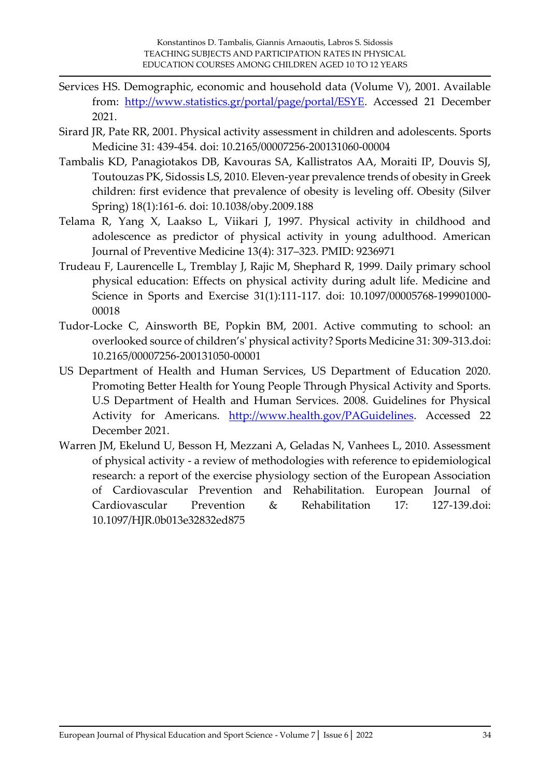- Services HS. Demographic, economic and household data (Volume V), 2001. Available from: [http://www.statistics.gr/portal/page/portal/ESYE.](http://www.statistics.gr/portal/page/portal/ESYE) Accessed 21 December 2021.
- Sirard JR, Pate RR, 2001. Physical activity assessment in children and adolescents. Sports Medicine 31: 439-454. doi: 10.2165/00007256-200131060-00004
- Tambalis KD, Panagiotakos DB, Kavouras SA, Kallistratos AA, Moraiti IP, Douvis SJ, Toutouzas PK, Sidossis LS, 2010. Eleven-year prevalence trends of obesity in Greek children: first evidence that prevalence of obesity is leveling off. Obesity (Silver Spring) 18(1):161-6. doi: 10.1038/oby.2009.188
- Telama R, Yang X, Laakso L, Viikari J, 1997. Physical activity in childhood and adolescence as predictor of physical activity in young adulthood. American Journal of Preventive Medicine 13(4): 317–323. PMID: 9236971
- Trudeau F, Laurencelle L, Tremblay J, Rajic M, Shephard R, 1999. Daily primary school physical education: Effects on physical activity during adult life. Medicine and Science in Sports and Exercise 31(1):111-117. doi: 10.1097/00005768-199901000- 00018
- Tudor-Locke C, Ainsworth BE, Popkin BM, 2001. Active commuting to school: an overlooked source of children's' physical activity? Sports Medicine 31: 309-313.doi: 10.2165/00007256-200131050-00001
- US Department of Health and Human Services, US Department of Education 2020. Promoting Better Health for Young People Through Physical Activity and Sports. U.S Department of Health and Human Services. 2008. Guidelines for Physical Activity for Americans. [http://www.health.gov/PAGuidelines.](http://www.health.gov/PAGuidelines) Accessed 22 December 2021.
- Warren JM, Ekelund U, Besson H, Mezzani A, Geladas N, Vanhees L, 2010. Assessment of physical activity - a review of methodologies with reference to epidemiological research: a report of the exercise physiology section of the European Association of Cardiovascular Prevention and Rehabilitation. European Journal of Cardiovascular Prevention & Rehabilitation 17: 127-139.doi: 10.1097/HJR.0b013e32832ed875